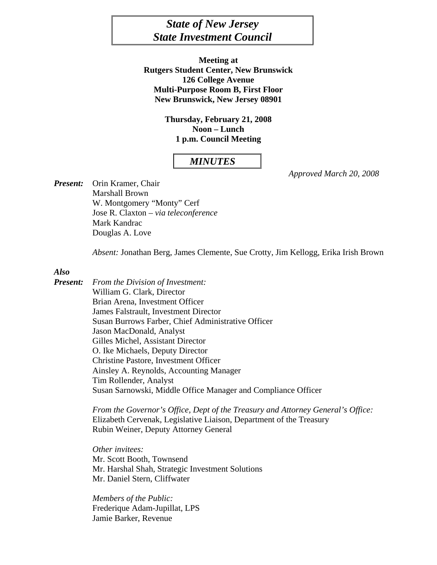# *State of New Jersey State Investment Council*

**Meeting at Rutgers Student Center, New Brunswick 126 College Avenue Multi-Purpose Room B, First Floor New Brunswick, New Jersey 08901** 

> **Thursday, February 21, 2008 Noon – Lunch 1 p.m. Council Meeting**

## *MINUTES*

*Approved March 20, 2008* 

*Present:* Orin Kramer, Chair Marshall Brown W. Montgomery "Monty" Cerf Jose R. Claxton – *via teleconference*  Mark Kandrac Douglas A. Love

*Absent:* Jonathan Berg, James Clemente, Sue Crotty, Jim Kellogg, Erika Irish Brown

#### *Also*

*Present: From the Division of Investment:*  William G. Clark, Director Brian Arena, Investment Officer James Falstrault, Investment Director Susan Burrows Farber, Chief Administrative Officer Jason MacDonald, Analyst Gilles Michel, Assistant Director O. Ike Michaels, Deputy Director Christine Pastore, Investment Officer Ainsley A. Reynolds, Accounting Manager Tim Rollender, Analyst Susan Sarnowski, Middle Office Manager and Compliance Officer

> *From the Governor's Office, Dept of the Treasury and Attorney General's Office:*  Elizabeth Cervenak, Legislative Liaison, Department of the Treasury Rubin Weiner, Deputy Attorney General

*Other invitees:*  Mr. Scott Booth, Townsend Mr. Harshal Shah, Strategic Investment Solutions Mr. Daniel Stern, Cliffwater

 *Members of the Public:* Frederique Adam-Jupillat, LPS Jamie Barker, Revenue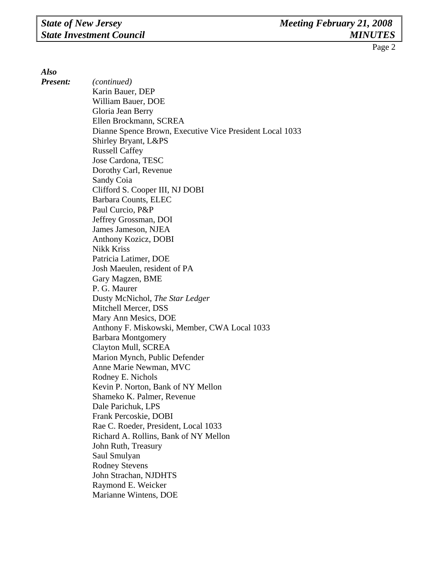*Also* 

*Present: (continued)*  Karin Bauer, DEP William Bauer, DOE Gloria Jean Berry Ellen Brockmann, SCREA Dianne Spence Brown, Executive Vice President Local 1033 Shirley Bryant, L&PS Russell Caffey Jose Cardona, TESC Dorothy Carl, Revenue Sandy Coia Clifford S. Cooper III, NJ DOBI Barbara Counts, ELEC Paul Curcio, P&P Jeffrey Grossman, DOI James Jameson, NJEA Anthony Kozicz, DOBI Nikk Kriss Patricia Latimer, DOE Josh Maeulen, resident of PA Gary Magzen, BME P. G. Maurer Dusty McNichol, *The Star Ledger*  Mitchell Mercer, DSS Mary Ann Mesics, DOE Anthony F. Miskowski, Member, CWA Local 1033 Barbara Montgomery Clayton Mull, SCREA Marion Mynch, Public Defender Anne Marie Newman, MVC Rodney E. Nichols Kevin P. Norton, Bank of NY Mellon Shameko K. Palmer, Revenue Dale Parichuk, LPS Frank Percoskie, DOBI Rae C. Roeder, President, Local 1033 Richard A. Rollins, Bank of NY Mellon John Ruth, Treasury Saul Smulyan Rodney Stevens John Strachan, NJDHTS Raymond E. Weicker Marianne Wintens, DOE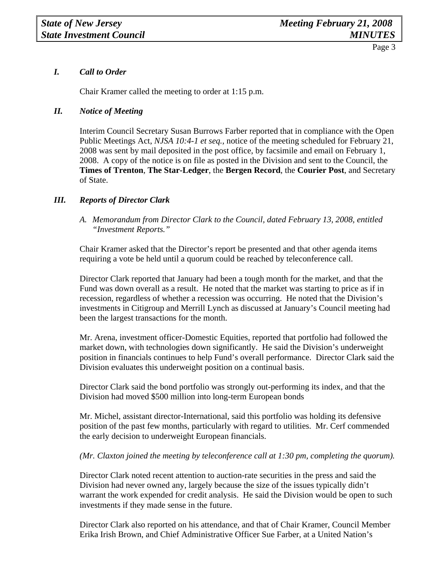## *I. Call to Order*

Chair Kramer called the meeting to order at 1:15 p.m.

## *II. Notice of Meeting*

 Interim Council Secretary Susan Burrows Farber reported that in compliance with the Open Public Meetings Act, *NJSA 10:4-1 et seq.,* notice of the meeting scheduled for February 21, 2008 was sent by mail deposited in the post office, by facsimile and email on February 1, 2008. A copy of the notice is on file as posted in the Division and sent to the Council, the **Times of Trenton**, **The Star-Ledger**, the **Bergen Record**, the **Courier Post**, and Secretary of State.

## *III. Reports of Director Clark*

*A. Memorandum from Director Clark to the Council, dated February 13, 2008, entitled "Investment Reports."* 

Chair Kramer asked that the Director's report be presented and that other agenda items requiring a vote be held until a quorum could be reached by teleconference call.

Director Clark reported that January had been a tough month for the market, and that the Fund was down overall as a result. He noted that the market was starting to price as if in recession, regardless of whether a recession was occurring. He noted that the Division's investments in Citigroup and Merrill Lynch as discussed at January's Council meeting had been the largest transactions for the month.

Mr. Arena, investment officer-Domestic Equities, reported that portfolio had followed the market down, with technologies down significantly. He said the Division's underweight position in financials continues to help Fund's overall performance. Director Clark said the Division evaluates this underweight position on a continual basis.

Director Clark said the bond portfolio was strongly out-performing its index, and that the Division had moved \$500 million into long-term European bonds

Mr. Michel, assistant director-International, said this portfolio was holding its defensive position of the past few months, particularly with regard to utilities. Mr. Cerf commended the early decision to underweight European financials.

## *(Mr. Claxton joined the meeting by teleconference call at 1:30 pm, completing the quorum).*

Director Clark noted recent attention to auction-rate securities in the press and said the Division had never owned any, largely because the size of the issues typically didn't warrant the work expended for credit analysis. He said the Division would be open to such investments if they made sense in the future.

Director Clark also reported on his attendance, and that of Chair Kramer, Council Member Erika Irish Brown, and Chief Administrative Officer Sue Farber, at a United Nation's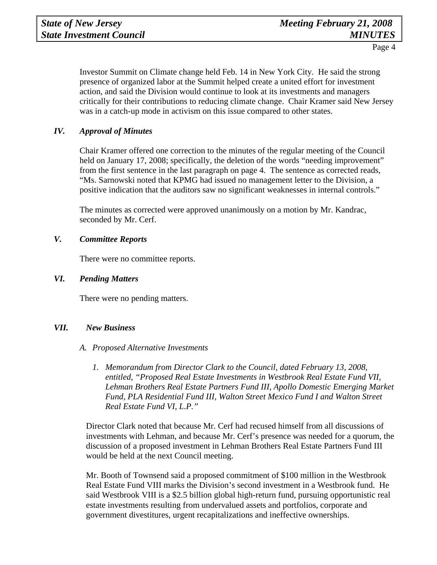Investor Summit on Climate change held Feb. 14 in New York City. He said the strong presence of organized labor at the Summit helped create a united effort for investment action, and said the Division would continue to look at its investments and managers critically for their contributions to reducing climate change. Chair Kramer said New Jersey was in a catch-up mode in activism on this issue compared to other states.

## *IV. Approval of Minutes*

Chair Kramer offered one correction to the minutes of the regular meeting of the Council held on January 17, 2008; specifically, the deletion of the words "needing improvement" from the first sentence in the last paragraph on page 4. The sentence as corrected reads, "Ms. Sarnowski noted that KPMG had issued no management letter to the Division, a positive indication that the auditors saw no significant weaknesses in internal controls."

The minutes as corrected were approved unanimously on a motion by Mr. Kandrac, seconded by Mr. Cerf.

## *V. Committee Reports*

There were no committee reports.

### *VI. Pending Matters*

There were no pending matters.

#### *VII. New Business*

- *A. Proposed Alternative Investments* 
	- *1. Memorandum from Director Clark to the Council, dated February 13, 2008, entitled, "Proposed Real Estate Investments in Westbrook Real Estate Fund VII, Lehman Brothers Real Estate Partners Fund III, Apollo Domestic Emerging Market Fund, PLA Residential Fund III, Walton Street Mexico Fund I and Walton Street Real Estate Fund VI, L.P."*

Director Clark noted that because Mr. Cerf had recused himself from all discussions of investments with Lehman, and because Mr. Cerf's presence was needed for a quorum, the discussion of a proposed investment in Lehman Brothers Real Estate Partners Fund III would be held at the next Council meeting.

Mr. Booth of Townsend said a proposed commitment of \$100 million in the Westbrook Real Estate Fund VIII marks the Division's second investment in a Westbrook fund. He said Westbrook VIII is a \$2.5 billion global high-return fund, pursuing opportunistic real estate investments resulting from undervalued assets and portfolios, corporate and government divestitures, urgent recapitalizations and ineffective ownerships.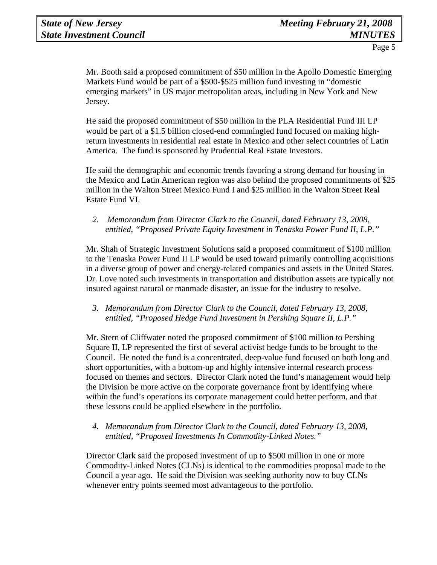Mr. Booth said a proposed commitment of \$50 million in the Apollo Domestic Emerging Markets Fund would be part of a \$500-\$525 million fund investing in "domestic emerging markets" in US major metropolitan areas, including in New York and New Jersey.

He said the proposed commitment of \$50 million in the PLA Residential Fund III LP would be part of a \$1.5 billion closed-end commingled fund focused on making highreturn investments in residential real estate in Mexico and other select countries of Latin America. The fund is sponsored by Prudential Real Estate Investors.

He said the demographic and economic trends favoring a strong demand for housing in the Mexico and Latin American region was also behind the proposed commitments of \$25 million in the Walton Street Mexico Fund I and \$25 million in the Walton Street Real Estate Fund VI.

## *2. Memorandum from Director Clark to the Council, dated February 13, 2008, entitled, "Proposed Private Equity Investment in Tenaska Power Fund II, L.P."*

Mr. Shah of Strategic Investment Solutions said a proposed commitment of \$100 million to the Tenaska Power Fund II LP would be used toward primarily controlling acquisitions in a diverse group of power and energy-related companies and assets in the United States. Dr. Love noted such investments in transportation and distribution assets are typically not insured against natural or manmade disaster, an issue for the industry to resolve.

## *3. Memorandum from Director Clark to the Council, dated February 13, 2008, entitled, "Proposed Hedge Fund Investment in Pershing Square II, L.P."*

Mr. Stern of Cliffwater noted the proposed commitment of \$100 million to Pershing Square II, LP represented the first of several activist hedge funds to be brought to the Council. He noted the fund is a concentrated, deep-value fund focused on both long and short opportunities, with a bottom-up and highly intensive internal research process focused on themes and sectors. Director Clark noted the fund's management would help the Division be more active on the corporate governance front by identifying where within the fund's operations its corporate management could better perform, and that these lessons could be applied elsewhere in the portfolio.

## *4. Memorandum from Director Clark to the Council, dated February 13, 2008, entitled, "Proposed Investments In Commodity-Linked Notes."*

Director Clark said the proposed investment of up to \$500 million in one or more Commodity-Linked Notes (CLNs) is identical to the commodities proposal made to the Council a year ago. He said the Division was seeking authority now to buy CLNs whenever entry points seemed most advantageous to the portfolio.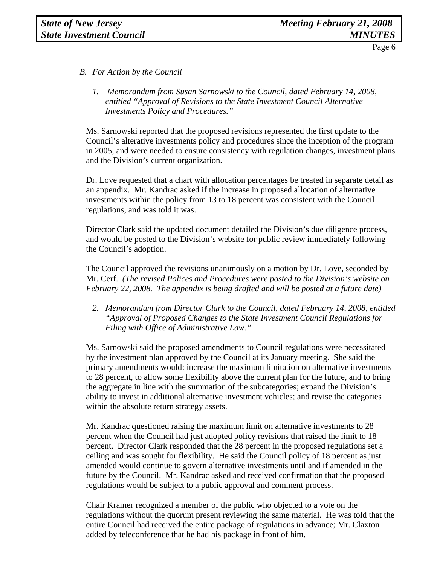- *B. For Action by the Council* 
	- *1. Memorandum from Susan Sarnowski to the Council, dated February 14, 2008, entitled "Approval of Revisions to the State Investment Council Alternative Investments Policy and Procedures."*

Ms. Sarnowski reported that the proposed revisions represented the first update to the Council's alterative investments policy and procedures since the inception of the program in 2005, and were needed to ensure consistency with regulation changes, investment plans and the Division's current organization.

Dr. Love requested that a chart with allocation percentages be treated in separate detail as an appendix. Mr. Kandrac asked if the increase in proposed allocation of alternative investments within the policy from 13 to 18 percent was consistent with the Council regulations, and was told it was.

Director Clark said the updated document detailed the Division's due diligence process, and would be posted to the Division's website for public review immediately following the Council's adoption.

The Council approved the revisions unanimously on a motion by Dr. Love, seconded by Mr. Cerf. *(The revised Polices and Procedures were posted to the Division's website on February 22, 2008. The appendix is being drafted and will be posted at a future date)* 

*2. Memorandum from Director Clark to the Council, dated February 14, 2008, entitled "Approval of Proposed Changes to the State Investment Council Regulations for Filing with Office of Administrative Law."* 

Ms. Sarnowski said the proposed amendments to Council regulations were necessitated by the investment plan approved by the Council at its January meeting. She said the primary amendments would: increase the maximum limitation on alternative investments to 28 percent, to allow some flexibility above the current plan for the future, and to bring the aggregate in line with the summation of the subcategories; expand the Division's ability to invest in additional alternative investment vehicles; and revise the categories within the absolute return strategy assets.

Mr. Kandrac questioned raising the maximum limit on alternative investments to 28 percent when the Council had just adopted policy revisions that raised the limit to 18 percent. Director Clark responded that the 28 percent in the proposed regulations set a ceiling and was sought for flexibility. He said the Council policy of 18 percent as just amended would continue to govern alternative investments until and if amended in the future by the Council. Mr. Kandrac asked and received confirmation that the proposed regulations would be subject to a public approval and comment process.

Chair Kramer recognized a member of the public who objected to a vote on the regulations without the quorum present reviewing the same material. He was told that the entire Council had received the entire package of regulations in advance; Mr. Claxton added by teleconference that he had his package in front of him.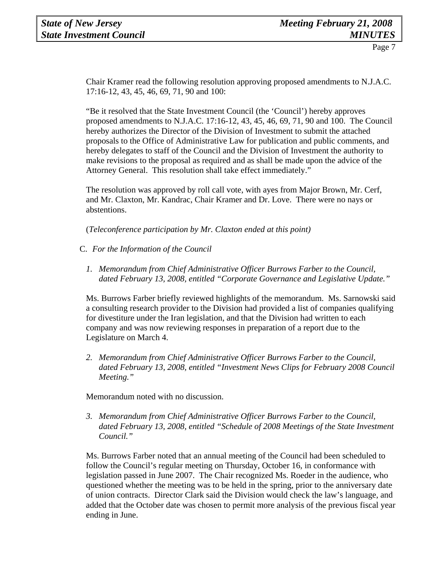Chair Kramer read the following resolution approving proposed amendments to N.J.A.C. 17:16-12, 43, 45, 46, 69, 71, 90 and 100:

"Be it resolved that the State Investment Council (the 'Council') hereby approves proposed amendments to N.J.A.C. 17:16-12, 43, 45, 46, 69, 71, 90 and 100. The Council hereby authorizes the Director of the Division of Investment to submit the attached proposals to the Office of Administrative Law for publication and public comments, and hereby delegates to staff of the Council and the Division of Investment the authority to make revisions to the proposal as required and as shall be made upon the advice of the Attorney General. This resolution shall take effect immediately."

The resolution was approved by roll call vote, with ayes from Major Brown, Mr. Cerf, and Mr. Claxton, Mr. Kandrac, Chair Kramer and Dr. Love. There were no nays or abstentions.

(*Teleconference participation by Mr. Claxton ended at this point)* 

- C. *For the Information of the Council*
	- *1. Memorandum from Chief Administrative Officer Burrows Farber to the Council, dated February 13, 2008, entitled "Corporate Governance and Legislative Update."*

Ms. Burrows Farber briefly reviewed highlights of the memorandum. Ms. Sarnowski said a consulting research provider to the Division had provided a list of companies qualifying for divestiture under the Iran legislation, and that the Division had written to each company and was now reviewing responses in preparation of a report due to the Legislature on March 4.

*2. Memorandum from Chief Administrative Officer Burrows Farber to the Council, dated February 13, 2008, entitled "Investment News Clips for February 2008 Council Meeting."* 

Memorandum noted with no discussion.

*3. Memorandum from Chief Administrative Officer Burrows Farber to the Council, dated February 13, 2008, entitled "Schedule of 2008 Meetings of the State Investment Council."* 

Ms. Burrows Farber noted that an annual meeting of the Council had been scheduled to follow the Council's regular meeting on Thursday, October 16, in conformance with legislation passed in June 2007. The Chair recognized Ms. Roeder in the audience, who questioned whether the meeting was to be held in the spring, prior to the anniversary date of union contracts. Director Clark said the Division would check the law's language, and added that the October date was chosen to permit more analysis of the previous fiscal year ending in June.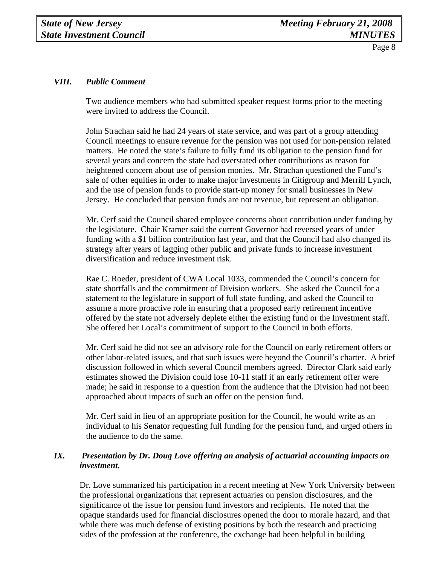## *VIII. Public Comment*

Two audience members who had submitted speaker request forms prior to the meeting were invited to address the Council.

John Strachan said he had 24 years of state service, and was part of a group attending Council meetings to ensure revenue for the pension was not used for non-pension related matters. He noted the state's failure to fully fund its obligation to the pension fund for several years and concern the state had overstated other contributions as reason for heightened concern about use of pension monies. Mr. Strachan questioned the Fund's sale of other equities in order to make major investments in Citigroup and Merrill Lynch, and the use of pension funds to provide start-up money for small businesses in New Jersey. He concluded that pension funds are not revenue, but represent an obligation.

Mr. Cerf said the Council shared employee concerns about contribution under funding by the legislature. Chair Kramer said the current Governor had reversed years of under funding with a \$1 billion contribution last year, and that the Council had also changed its strategy after years of lagging other public and private funds to increase investment diversification and reduce investment risk.

Rae C. Roeder, president of CWA Local 1033, commended the Council's concern for state shortfalls and the commitment of Division workers. She asked the Council for a statement to the legislature in support of full state funding, and asked the Council to assume a more proactive role in ensuring that a proposed early retirement incentive offered by the state not adversely deplete either the existing fund or the Investment staff. She offered her Local's commitment of support to the Council in both efforts.

Mr. Cerf said he did not see an advisory role for the Council on early retirement offers or other labor-related issues, and that such issues were beyond the Council's charter. A brief discussion followed in which several Council members agreed. Director Clark said early estimates showed the Division could lose 10-11 staff if an early retirement offer were made; he said in response to a question from the audience that the Division had not been approached about impacts of such an offer on the pension fund.

Mr. Cerf said in lieu of an appropriate position for the Council, he would write as an individual to his Senator requesting full funding for the pension fund, and urged others in the audience to do the same.

## *IX. Presentation by Dr. Doug Love offering an analysis of actuarial accounting impacts on investment.*

Dr. Love summarized his participation in a recent meeting at New York University between the professional organizations that represent actuaries on pension disclosures, and the significance of the issue for pension fund investors and recipients. He noted that the opaque standards used for financial disclosures opened the door to morale hazard, and that while there was much defense of existing positions by both the research and practicing sides of the profession at the conference, the exchange had been helpful in building